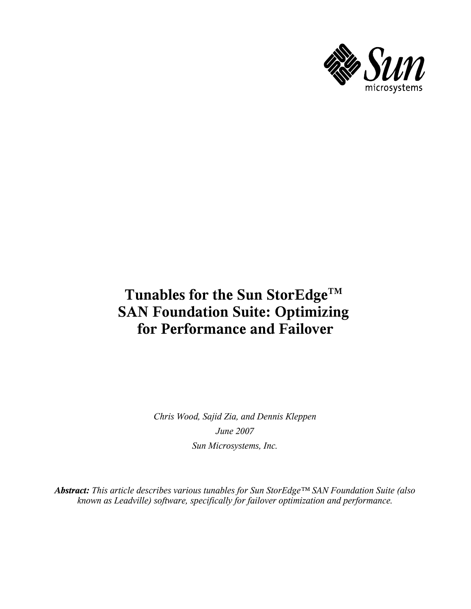

# **Tunables for the Sun StorEdge TM SAN Foundation Suite: Optimizing for Performance and Failover**

*Chris Wood, Sajid Zia, and Dennis Kleppen June 2007 Sun Microsystems, Inc.*

*Abstract: This article describes various tunables for Sun StorEdge™ SAN Foundation Suite (also known as Leadville) software, specifically for failover optimization and performance.*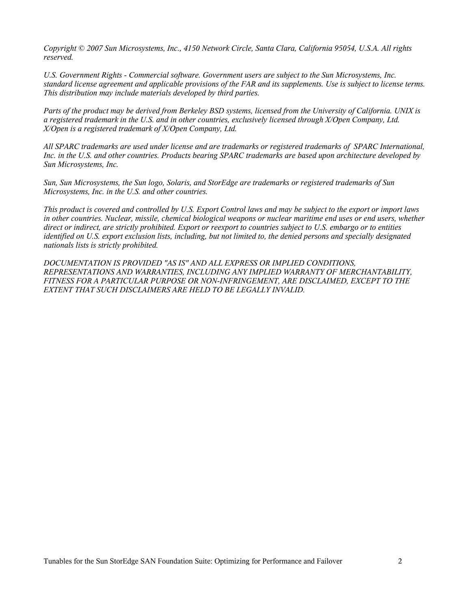*Copyright © 2007 Sun Microsystems, Inc., 4150 Network Circle, Santa Clara, California 95054, U.S.A. All rights reserved.*

*U.S. Government Rights - Commercial software. Government users are subject to the Sun Microsystems, Inc. standard license agreement and applicable provisions of the FAR and its supplements. Use is subject to license terms. This distribution may include materials developed by third parties.*

Parts of the product may be derived from Berkeley BSD systems, licensed from the University of California. UNIX is *a registered trademark in the U.S. and in other countries, exclusively licensed through X/Open Company, Ltd. X/Open is a registered trademark of X/Open Company, Ltd.*

*All SPARC trademarks are used under license and are trademarks or registered trademarks of SPARC International, Inc. in the U.S. and other countries. Products bearing SPARC trademarks are based upon architecture developed by Sun Microsystems, Inc.*

*Sun, Sun Microsystems, the Sun logo, Solaris, and StorEdge are trademarks or registered trademarks of Sun Microsystems, Inc. in the U.S. and other countries.*

This product is covered and controlled by U.S. Export Control laws and may be subject to the export or import laws *in other countries. Nuclear, missile, chemical biological weapons or nuclear maritime end uses or end users, whether direct or indirect, are strictly prohibited. Export or reexport to countries subject to U.S. embargo or to entities identified on U.S. export exclusion lists, including, but not limited to, the denied persons and specially designated nationals lists is strictly prohibited.*

*DOCUMENTATION IS PROVIDED "AS IS" AND ALL EXPRESS OR IMPLIED CONDITIONS, REPRESENTATIONS AND WARRANTIES, INCLUDING ANY IMPLIED WARRANTY OF MERCHANTABILITY, FITNESS FOR A PARTICULAR PURPOSE OR NON-INFRINGEMENT, ARE DISCLAIMED, EXCEPT TO THE EXTENT THAT SUCH DISCLAIMERS ARE HELD TO BE LEGALLY INVALID.*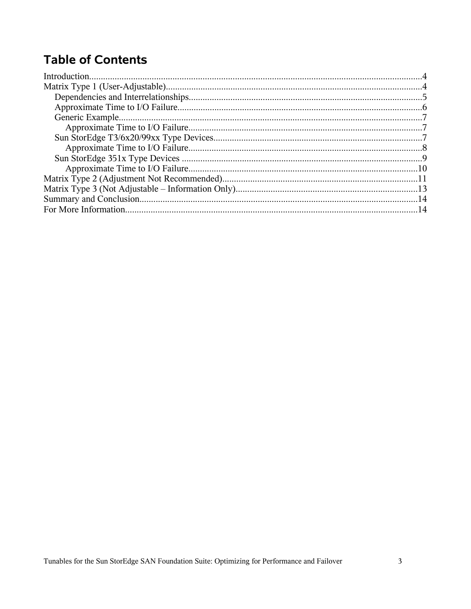## **Table of Contents**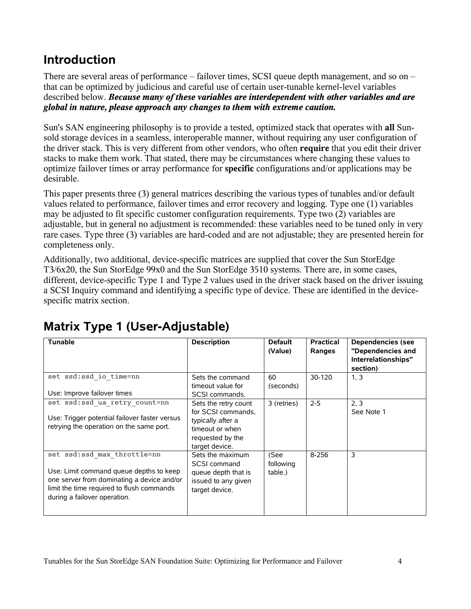## **Introduction**

There are several areas of performance – failover times, SCSI queue depth management, and so on – that can be optimized by judicious and careful use of certain user-tunable kernel-level variables described below. *Because many of these variables are interdependent with other variables and are global in nature, please approach any changes to them with extreme caution.*

Sun's SAN engineering philosophy is to provide a tested, optimized stack that operates with **all** Sunsold storage devices in a seamless, interoperable manner, without requiring any user configuration of the driver stack. This is very different from other vendors, who often **require** that you edit their driver stacks to make them work. That stated, there may be circumstances where changing these values to optimize failover times or array performance for **specific** configurations and/or applications may be desirable.

This paper presents three (3) general matrices describing the various types of tunables and/or default values related to performance, failover times and error recovery and logging. Type one (1) variables may be adjusted to fit specific customer configuration requirements. Type two (2) variables are adjustable, but in general no adjustment is recommended: these variables need to be tuned only in very rare cases. Type three (3) variables are hard-coded and are not adjustable; they are presented herein for completeness only.

Additionally, two additional, device-specific matrices are supplied that cover the Sun StorEdge T3/6x20, the Sun StorEdge 99x0 and the Sun StorEdge 3510 systems. There are, in some cases, different, device-specific Type 1 and Type 2 values used in the driver stack based on the driver issuing a SCSI Inquiry command and identifying a specific type of device. These are identified in the devicespecific matrix section.

| <b>Tunable</b>                                                                                                                                                                                    | <b>Description</b>                                                                                                       | <b>Default</b><br>(Value)    | <b>Practical</b><br>Ranges | <b>Dependencies (see</b><br>"Dependencies and<br>Interrelationships"<br>section) |
|---------------------------------------------------------------------------------------------------------------------------------------------------------------------------------------------------|--------------------------------------------------------------------------------------------------------------------------|------------------------------|----------------------------|----------------------------------------------------------------------------------|
| set ssd:ssd io time=nn<br>Use: Improve failover times                                                                                                                                             | Sets the command<br>timeout value for<br>SCSI commands.                                                                  | 60<br>(seconds)              | 30-120                     | 1, 3                                                                             |
| set ssd:ssd ua retry count=nn<br>Use: Trigger potential failover faster versus<br>retrying the operation on the same port.                                                                        | Sets the retry count<br>for SCSI commands.<br>typically after a<br>timeout or when<br>requested by the<br>target device. | 3 (retries)                  | $2 - 5$                    | 2, 3<br>See Note 1                                                               |
| set ssd:ssd max throttle=nn<br>Use: Limit command queue depths to keep<br>one server from dominating a device and/or<br>limit the time required to flush commands<br>during a failover operation. | Sets the maximum<br>SCSI command<br>queue depth that is<br>issued to any given<br>target device.                         | (See<br>following<br>table.) | $8 - 256$                  | 3                                                                                |

## **Matrix Type 1 (User-Adjustable)**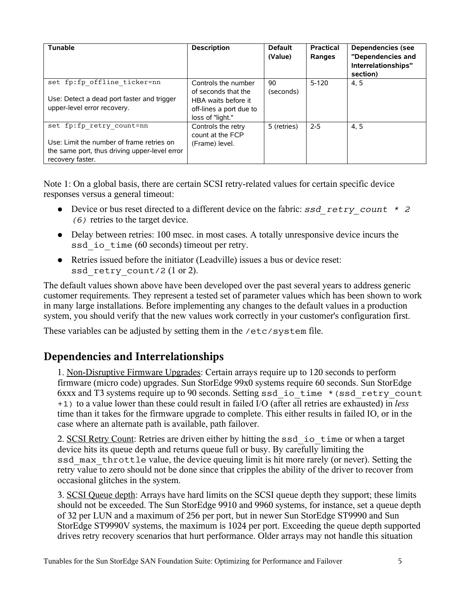| <b>Tunable</b>                                | <b>Description</b>      | <b>Default</b><br>(Value) | <b>Practical</b><br>Ranges | <b>Dependencies (see</b><br>"Dependencies and<br>Interrelationships"<br>section) |
|-----------------------------------------------|-------------------------|---------------------------|----------------------------|----------------------------------------------------------------------------------|
| set fp:fp offline ticker=nn                   | Controls the number     | 90                        | $5 - 120$                  | 4, 5                                                                             |
|                                               | of seconds that the     | (seconds)                 |                            |                                                                                  |
| Use: Detect a dead port faster and trigger    | HBA waits before it     |                           |                            |                                                                                  |
| upper-level error recovery.                   | off-lines a port due to |                           |                            |                                                                                  |
|                                               | loss of "light."        |                           |                            |                                                                                  |
| set fp:fp retry count=nn                      | Controls the retry      | 5 (retries)               | $2 - 5$                    | 4.5                                                                              |
|                                               | count at the FCP        |                           |                            |                                                                                  |
| Use: Limit the number of frame retries on     | (Frame) level.          |                           |                            |                                                                                  |
| the same port, thus driving upper-level error |                         |                           |                            |                                                                                  |
| recovery faster.                              |                         |                           |                            |                                                                                  |

Note 1: On a global basis, there are certain SCSI retry-related values for certain specific device responses versus a general timeout:

- Device or bus reset directed to a different device on the fabric: *ssd\_retry\_count \* 2 (6)* retries to the target device.
- Delay between retries: 100 msec. in most cases. A totally unresponsive device incurs the ssd io time (60 seconds) timeout per retry.
- Retries issued before the initiator (Leadville) issues a bus or device reset: ssd retry  $count/2$  (1 or 2).

The default values shown above have been developed over the past several years to address generic customer requirements. They represent a tested set of parameter values which has been shown to work in many large installations. Before implementing any changes to the default values in a production system, you should verify that the new values work correctly in your customer's configuration first.

These variables can be adjusted by setting them in the /etc/system file.

#### **Dependencies and Interrelationships**

1. Non-Disruptive Firmware Upgrades: Certain arrays require up to 120 seconds to perform firmware (micro code) upgrades. Sun StorEdge 99x0 systems require 60 seconds. Sun StorEdge 6xxx and T3 systems require up to 90 seconds. Setting ssd\_io\_time \*(ssd\_retry\_count +1) to a value lower than these could result in failed I/O (after all retries are exhausted) in *less* time than it takes for the firmware upgrade to complete. This either results in failed IO, or in the case where an alternate path is available, path failover.

2. SCSI Retry Count: Retries are driven either by hitting the ssd io time or when a target device hits its queue depth and returns queue full or busy. By carefully limiting the ssd max throttle value, the device queuing limit is hit more rarely (or never). Setting the retry value to zero should not be done since that cripples the ability of the driver to recover from occasional glitches in the system.

3. SCSI Queue depth: Arrays have hard limits on the SCSI queue depth they support; these limits should not be exceeded. The Sun StorEdge 9910 and 9960 systems, for instance, set a queue depth of 32 per LUN and a maximum of 256 per port, but in newer Sun StorEdge ST9990 and Sun StorEdge ST9990V systems, the maximum is 1024 per port. Exceeding the queue depth supported drives retry recovery scenarios that hurt performance. Older arrays may not handle this situation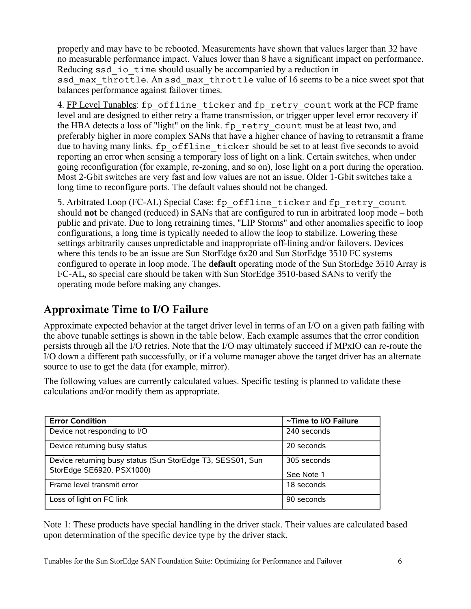properly and may have to be rebooted. Measurements have shown that values larger than 32 have no measurable performance impact. Values lower than 8 have a significant impact on performance. Reducing ssd io time should usually be accompanied by a reduction in ssd\_max\_throttle. An ssd\_max\_throttle value of 16 seems to be a nice sweet spot that balances performance against failover times.

4. FP Level Tunables: fp\_offline\_ticker and fp\_retry\_count work at the FCP frame level and are designed to either retry a frame transmission, or trigger upper level error recovery if the HBA detects a loss of "light" on the link. fp\_retry\_count must be at least two, and preferably higher in more complex SANs that have a higher chance of having to retransmit a frame due to having many links. fp\_offline\_ticker should be set to at least five seconds to avoid reporting an error when sensing a temporary loss of light on a link. Certain switches, when under going reconfiguration (for example, re-zoning, and so on), lose light on a port during the operation. Most 2-Gbit switches are very fast and low values are not an issue. Older 1-Gbit switches take a long time to reconfigure ports. The default values should not be changed.

5. Arbitrated Loop (FC-AL) Special Case: fp\_offline\_ticker and fp\_retry\_count should **not** be changed (reduced) in SANs that are configured to run in arbitrated loop mode – both public and private. Due to long retraining times, "LIP Storms" and other anomalies specific to loop configurations, a long time is typically needed to allow the loop to stabilize. Lowering these settings arbitrarily causes unpredictable and inappropriate off-lining and/or failovers. Devices where this tends to be an issue are Sun StorEdge 6x20 and Sun StorEdge 3510 FC systems configured to operate in loop mode. The **default** operating mode of the Sun StorEdge 3510 Array is FC-AL, so special care should be taken with Sun StorEdge 3510-based SANs to verify the operating mode before making any changes.

### **Approximate Time to I/O Failure**

Approximate expected behavior at the target driver level in terms of an I/O on a given path failing with the above tunable settings is shown in the table below. Each example assumes that the error condition persists through all the I/O retries. Note that the I/O may ultimately succeed if MPxIO can re-route the I/O down a different path successfully, or if a volume manager above the target driver has an alternate source to use to get the data (for example, mirror).

The following values are currently calculated values. Specific testing is planned to validate these calculations and/or modify them as appropriate.

| <b>Error Condition</b>                                                                  | ~Time to I/O Failure      |
|-----------------------------------------------------------------------------------------|---------------------------|
| Device not responding to I/O                                                            | 240 seconds               |
| Device returning busy status                                                            | 20 seconds                |
| Device returning busy status (Sun StorEdge T3, SESS01, Sun<br>StorEdge SE6920, PSX1000) | 305 seconds<br>See Note 1 |
| Frame level transmit error                                                              | 18 seconds                |
| Loss of light on FC link                                                                | 90 seconds                |

Note 1: These products have special handling in the driver stack. Their values are calculated based upon determination of the specific device type by the driver stack.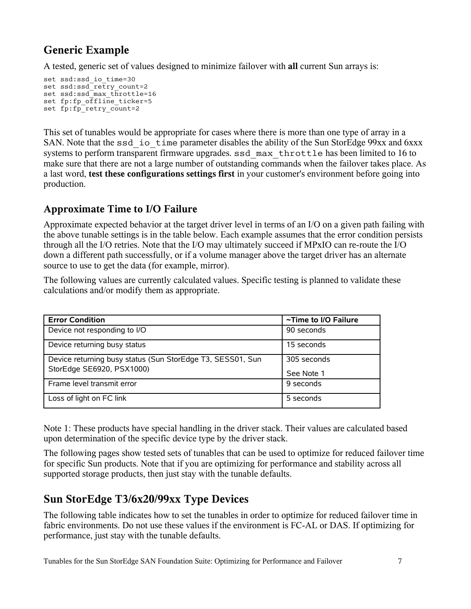### **Generic Example**

A tested, generic set of values designed to minimize failover with **all** current Sun arrays is:

```
set ssd:ssd_io_time=30
set ssd:ssd_retry_count=2
set ssd:ssd<sup>-max</sup> throttle=16
set fp: fp oFfline ticker=5
set fp:fp_retry_count=2
```
This set of tunables would be appropriate for cases where there is more than one type of array in a SAN. Note that the ssd io time parameter disables the ability of the Sun StorEdge 99xx and 6xxx systems to perform transparent firmware upgrades. ssd\_max\_throttle has been limited to 16 to make sure that there are not a large number of outstanding commands when the failover takes place. As a last word, **test these configurations settings first** in your customer's environment before going into production.

#### **Approximate Time to I/O Failure**

Approximate expected behavior at the target driver level in terms of an I/O on a given path failing with the above tunable settings is in the table below. Each example assumes that the error condition persists through all the I/O retries. Note that the I/O may ultimately succeed if MPxIO can re-route the I/O down a different path successfully, or if a volume manager above the target driver has an alternate source to use to get the data (for example, mirror).

The following values are currently calculated values. Specific testing is planned to validate these calculations and/or modify them as appropriate.

| <b>Error Condition</b>                                                                  | ~Time to I/O Failure      |
|-----------------------------------------------------------------------------------------|---------------------------|
| Device not responding to I/O                                                            | 90 seconds                |
| Device returning busy status                                                            | 15 seconds                |
| Device returning busy status (Sun StorEdge T3, SESS01, Sun<br>StorEdge SE6920, PSX1000) | 305 seconds<br>See Note 1 |
| Frame level transmit error                                                              | 9 seconds                 |
| Loss of light on FC link                                                                | 5 seconds                 |

Note 1: These products have special handling in the driver stack. Their values are calculated based upon determination of the specific device type by the driver stack.

The following pages show tested sets of tunables that can be used to optimize for reduced failover time for specific Sun products. Note that if you are optimizing for performance and stability across all supported storage products, then just stay with the tunable defaults.

#### **Sun StorEdge T3/6x20/99xx Type Devices**

The following table indicates how to set the tunables in order to optimize for reduced failover time in fabric environments. Do not use these values if the environment is FC-AL or DAS. If optimizing for performance, just stay with the tunable defaults.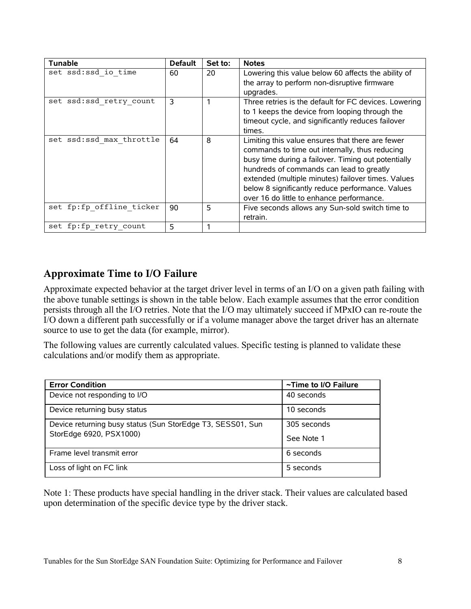| <b>Tunable</b>           | <b>Default</b> | Set to: | <b>Notes</b>                                                                                                                                                                                                                                                                                                                                                 |
|--------------------------|----------------|---------|--------------------------------------------------------------------------------------------------------------------------------------------------------------------------------------------------------------------------------------------------------------------------------------------------------------------------------------------------------------|
| set ssd:ssd io time      | 60             | 20      | Lowering this value below 60 affects the ability of<br>the array to perform non-disruptive firmware<br>upgrades.                                                                                                                                                                                                                                             |
| set ssd:ssd retry count  | 3              |         | Three retries is the default for FC devices. Lowering<br>to 1 keeps the device from looping through the<br>timeout cycle, and significantly reduces failover<br>times.                                                                                                                                                                                       |
| set ssd:ssd max throttle | 64             | 8       | Limiting this value ensures that there are fewer<br>commands to time out internally, thus reducing<br>busy time during a failover. Timing out potentially<br>hundreds of commands can lead to greatly<br>extended (multiple minutes) failover times. Values<br>below 8 significantly reduce performance. Values<br>over 16 do little to enhance performance. |
| set fp:fp offline ticker | 90             | 5       | Five seconds allows any Sun-sold switch time to<br>retrain.                                                                                                                                                                                                                                                                                                  |
| set fp:fp retry count    | 5              |         |                                                                                                                                                                                                                                                                                                                                                              |

#### **Approximate Time to I/O Failure**

Approximate expected behavior at the target driver level in terms of an I/O on a given path failing with the above tunable settings is shown in the table below. Each example assumes that the error condition persists through all the I/O retries. Note that the I/O may ultimately succeed if MPxIO can re-route the I/O down a different path successfully or if a volume manager above the target driver has an alternate source to use to get the data (for example, mirror).

The following values are currently calculated values. Specific testing is planned to validate these calculations and/or modify them as appropriate.

| <b>Error Condition</b>                                     | ~Time to I/O Failure |
|------------------------------------------------------------|----------------------|
| Device not responding to I/O                               | 40 seconds           |
| Device returning busy status                               | 10 seconds           |
| Device returning busy status (Sun StorEdge T3, SESS01, Sun | 305 seconds          |
| StorEdge 6920, PSX1000)                                    | See Note 1           |
| Frame level transmit error                                 | 6 seconds            |
| Loss of light on FC link                                   | 5 seconds            |

Note 1: These products have special handling in the driver stack. Their values are calculated based upon determination of the specific device type by the driver stack.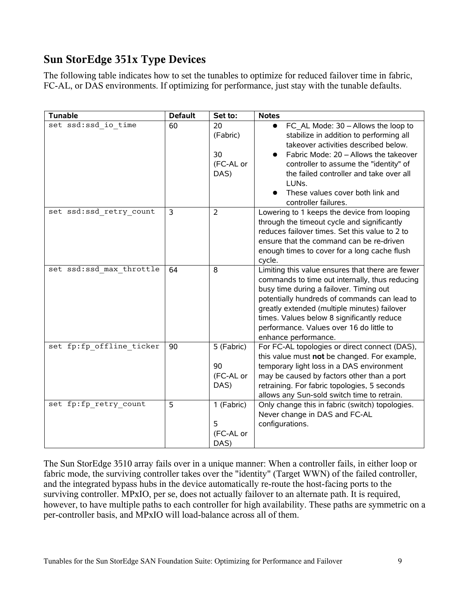### **Sun StorEdge 351x Type Devices**

The following table indicates how to set the tunables to optimize for reduced failover time in fabric, FC-AL, or DAS environments. If optimizing for performance, just stay with the tunable defaults.

| <b>Tunable</b>           | <b>Default</b> | Set to:                                   | <b>Notes</b>                                                                                                                                                                                                                                                                                                                                                    |
|--------------------------|----------------|-------------------------------------------|-----------------------------------------------------------------------------------------------------------------------------------------------------------------------------------------------------------------------------------------------------------------------------------------------------------------------------------------------------------------|
| set ssd:ssd io time      | 60             | 20<br>(Fabric)<br>30<br>(FC-AL or<br>DAS) | FC_AL Mode: 30 - Allows the loop to<br>$\bullet$<br>stabilize in addition to performing all<br>takeover activities described below.<br>Fabric Mode: 20 - Allows the takeover<br>controller to assume the "identity" of<br>the failed controller and take over all<br>LUNs.<br>These values cover both link and<br>controller failures.                          |
| set ssd:ssd retry count  | $\overline{3}$ | $\overline{2}$                            | Lowering to 1 keeps the device from looping<br>through the timeout cycle and significantly<br>reduces failover times. Set this value to 2 to<br>ensure that the command can be re-driven<br>enough times to cover for a long cache flush<br>cycle.                                                                                                              |
| set ssd:ssd max throttle | 64             | 8                                         | Limiting this value ensures that there are fewer<br>commands to time out internally, thus reducing<br>busy time during a failover. Timing out<br>potentially hundreds of commands can lead to<br>greatly extended (multiple minutes) failover<br>times. Values below 8 significantly reduce<br>performance. Values over 16 do little to<br>enhance performance. |
| set fp:fp offline ticker | 90             | 5 (Fabric)<br>90<br>(FC-AL or<br>DAS)     | For FC-AL topologies or direct connect (DAS),<br>this value must not be changed. For example,<br>temporary light loss in a DAS environment<br>may be caused by factors other than a port<br>retraining. For fabric topologies, 5 seconds<br>allows any Sun-sold switch time to retrain.                                                                         |
| set fp:fp retry count    | 5              | 1 (Fabric)<br>5<br>(FC-AL or<br>DAS)      | Only change this in fabric (switch) topologies.<br>Never change in DAS and FC-AL<br>configurations.                                                                                                                                                                                                                                                             |

The Sun StorEdge 3510 array fails over in a unique manner: When a controller fails, in either loop or fabric mode, the surviving controller takes over the "identity" (Target WWN) of the failed controller, and the integrated bypass hubs in the device automatically re-route the host-facing ports to the surviving controller. MPxIO, per se, does not actually failover to an alternate path. It is required, however, to have multiple paths to each controller for high availability. These paths are symmetric on a per-controller basis, and MPxIO will load-balance across all of them.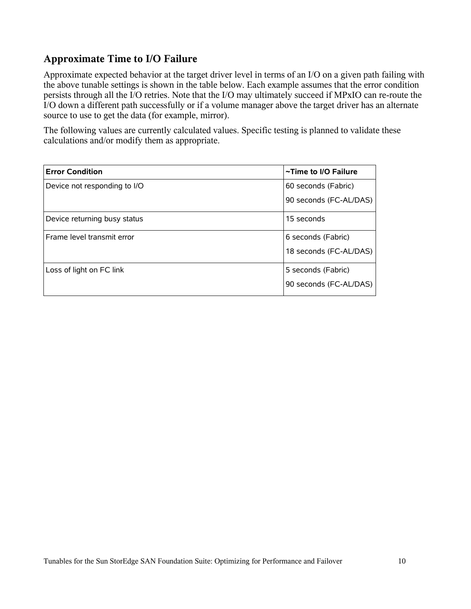#### **Approximate Time to I/O Failure**

Approximate expected behavior at the target driver level in terms of an I/O on a given path failing with the above tunable settings is shown in the table below. Each example assumes that the error condition persists through all the I/O retries. Note that the I/O may ultimately succeed if MPxIO can re-route the I/O down a different path successfully or if a volume manager above the target driver has an alternate source to use to get the data (for example, mirror).

The following values are currently calculated values. Specific testing is planned to validate these calculations and/or modify them as appropriate.

| <b>Error Condition</b>       | ~Time to I/O Failure   |
|------------------------------|------------------------|
| Device not responding to I/O | 60 seconds (Fabric)    |
|                              | 90 seconds (FC-AL/DAS) |
| Device returning busy status | 15 seconds             |
| Frame level transmit error   | 6 seconds (Fabric)     |
|                              | 18 seconds (FC-AL/DAS) |
| Loss of light on FC link     | 5 seconds (Fabric)     |
|                              | 90 seconds (FC-AL/DAS) |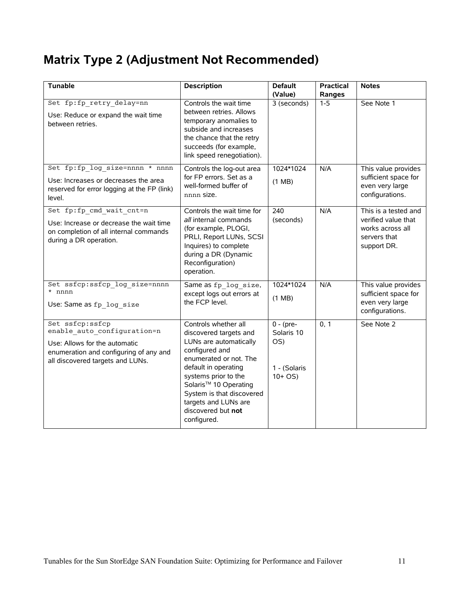# **Matrix Type 2 (Adjustment Not Recommended)**

| <b>Tunable</b>                                                                                                                                                | <b>Description</b>                                                                                                                                                                                                                                                                                  | <b>Default</b><br>(Value)                                   | <b>Practical</b><br>Ranges | <b>Notes</b>                                                                                   |
|---------------------------------------------------------------------------------------------------------------------------------------------------------------|-----------------------------------------------------------------------------------------------------------------------------------------------------------------------------------------------------------------------------------------------------------------------------------------------------|-------------------------------------------------------------|----------------------------|------------------------------------------------------------------------------------------------|
| Set fp:fp retry delay=nn<br>Use: Reduce or expand the wait time<br>between retries.                                                                           | Controls the wait time<br>between retries. Allows<br>temporary anomalies to<br>subside and increases<br>the chance that the retry<br>succeeds (for example,<br>link speed renegotiation).                                                                                                           | 3 (seconds)                                                 | $1 - 5$                    | See Note 1                                                                                     |
| Set fp:fp log size=nnnn * nnnn<br>Use: Increases or decreases the area<br>reserved for error logging at the FP (link)<br>level.                               | Controls the log-out area<br>for FP errors. Set as a<br>well-formed buffer of<br>nnnn size.                                                                                                                                                                                                         | 1024*1024<br>(1 MB)                                         | N/A                        | This value provides<br>sufficient space for<br>even very large<br>configurations.              |
| Set fp:fp cmd wait cnt=n<br>Use: Increase or decrease the wait time<br>on completion of all internal commands<br>during a DR operation.                       | Controls the wait time for<br>all internal commands<br>(for example, PLOGI,<br>PRLI, Report LUNs, SCSI<br>Inquires) to complete<br>during a DR (Dynamic<br>Reconfiguration)<br>operation.                                                                                                           | 240<br>(seconds)                                            | N/A                        | This is a tested and<br>verified value that<br>works across all<br>servers that<br>support DR. |
| Set ssfcp:ssfcp log size=nnnn<br>$*$ nnnn<br>Use: Same as fp log size                                                                                         | Same as fp log size,<br>except logs out errors at<br>the FCP level.                                                                                                                                                                                                                                 | 1024*1024<br>(1 MB)                                         | N/A                        | This value provides<br>sufficient space for<br>even very large<br>configurations.              |
| Set ssfcp:ssfcp<br>enable auto configuration=n<br>Use: Allows for the automatic<br>enumeration and configuring of any and<br>all discovered targets and LUNs. | Controls whether all<br>discovered targets and<br>LUNs are automatically<br>configured and<br>enumerated or not. The<br>default in operating<br>systems prior to the<br>Solaris <sup>™</sup> 10 Operating<br>System is that discovered<br>targets and LUNs are<br>discovered but not<br>configured. | $0 - (pre-$<br>Solaris 10<br>OS)<br>1 - (Solaris<br>$10+OS$ | 0, 1                       | See Note 2                                                                                     |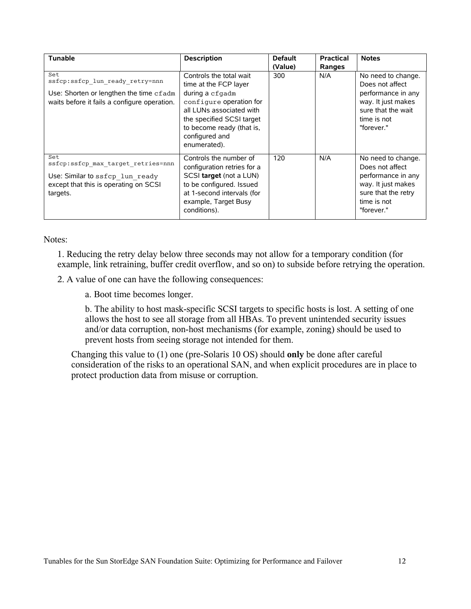| <b>Tunable</b>                                                                                                                    | <b>Description</b>                                                                                                                                                                                                       | <b>Default</b><br>(Value) | <b>Practical</b><br>Ranges | <b>Notes</b>                                                                                                                          |
|-----------------------------------------------------------------------------------------------------------------------------------|--------------------------------------------------------------------------------------------------------------------------------------------------------------------------------------------------------------------------|---------------------------|----------------------------|---------------------------------------------------------------------------------------------------------------------------------------|
| Set<br>ssfcp:ssfcp lun ready retry=nnn<br>Use: Shorten or lengthen the time cfadm<br>waits before it fails a configure operation. | Controls the total wait<br>time at the FCP layer<br>during $a$ cfgadm<br>configure operation for<br>all LUNs associated with<br>the specified SCSI target<br>to become ready (that is,<br>configured and<br>enumerated). | 300                       | N/A                        | No need to change.<br>Does not affect<br>performance in any<br>way. It just makes<br>sure that the wait<br>time is not<br>"forever."  |
| Set<br>ssfcp:ssfcp max target retries=nnn<br>Use: Similar to ssfcp lun ready<br>except that this is operating on SCSI<br>targets. | Controls the number of<br>configuration retries for a<br>SCSI target (not a LUN)<br>to be configured. Issued<br>at 1-second intervals (for<br>example, Target Busy<br>conditions).                                       | 120                       | N/A                        | No need to change.<br>Does not affect<br>performance in any<br>way. It just makes<br>sure that the retry<br>time is not<br>"forever." |

Notes:

1. Reducing the retry delay below three seconds may not allow for a temporary condition (for example, link retraining, buffer credit overflow, and so on) to subside before retrying the operation.

#### 2. A value of one can have the following consequences:

a. Boot time becomes longer.

b. The ability to host mask-specific SCSI targets to specific hosts is lost. A setting of one allows the host to see all storage from all HBAs. To prevent unintended security issues and/or data corruption, non-host mechanisms (for example, zoning) should be used to prevent hosts from seeing storage not intended for them.

Changing this value to (1) one (pre-Solaris 10 OS) should **only** be done after careful consideration of the risks to an operational SAN, and when explicit procedures are in place to protect production data from misuse or corruption.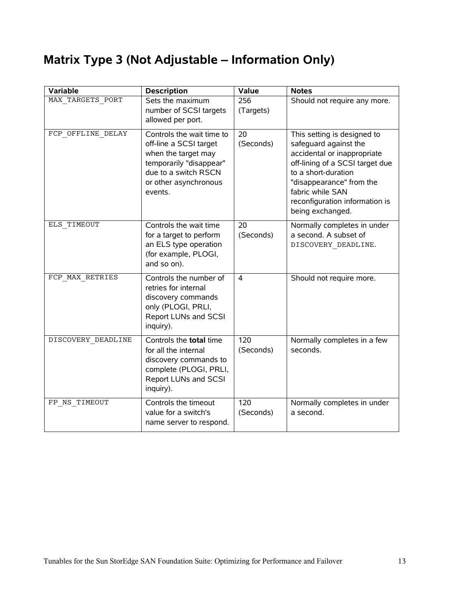# **Matrix Type 3 (Not Adjustable – Information Only)**

| Variable           | <b>Description</b>                                                                                                                                                | Value            | <b>Notes</b>                                                                                                                                                                                                                                        |
|--------------------|-------------------------------------------------------------------------------------------------------------------------------------------------------------------|------------------|-----------------------------------------------------------------------------------------------------------------------------------------------------------------------------------------------------------------------------------------------------|
| MAX TARGETS PORT   | Sets the maximum<br>number of SCSI targets<br>allowed per port.                                                                                                   | 256<br>(Targets) | Should not require any more.                                                                                                                                                                                                                        |
| FCP OFFLINE DELAY  | Controls the wait time to<br>off-line a SCSI target<br>when the target may<br>temporarily "disappear"<br>due to a switch RSCN<br>or other asynchronous<br>events. | 20<br>(Seconds)  | This setting is designed to<br>safeguard against the<br>accidental or inappropriate<br>off-lining of a SCSI target due<br>to a short-duration<br>"disappearance" from the<br>fabric while SAN<br>reconfiguration information is<br>being exchanged. |
| ELS TIMEOUT        | Controls the wait time<br>for a target to perform<br>an ELS type operation<br>(for example, PLOGI,<br>and so on).                                                 | 20<br>(Seconds)  | Normally completes in under<br>a second. A subset of<br>DISCOVERY DEADLINE.                                                                                                                                                                         |
| FCP MAX RETRIES    | Controls the number of<br>retries for internal<br>discovery commands<br>only (PLOGI, PRLI,<br>Report LUNs and SCSI<br>inquiry).                                   | $\overline{4}$   | Should not require more.                                                                                                                                                                                                                            |
| DISCOVERY DEADLINE | Controls the total time<br>for all the internal<br>discovery commands to<br>complete (PLOGI, PRLI,<br>Report LUNs and SCSI<br>inquiry).                           | 120<br>(Seconds) | Normally completes in a few<br>seconds.                                                                                                                                                                                                             |
| FP NS TIMEOUT      | Controls the timeout<br>value for a switch's<br>name server to respond.                                                                                           | 120<br>(Seconds) | Normally completes in under<br>a second.                                                                                                                                                                                                            |